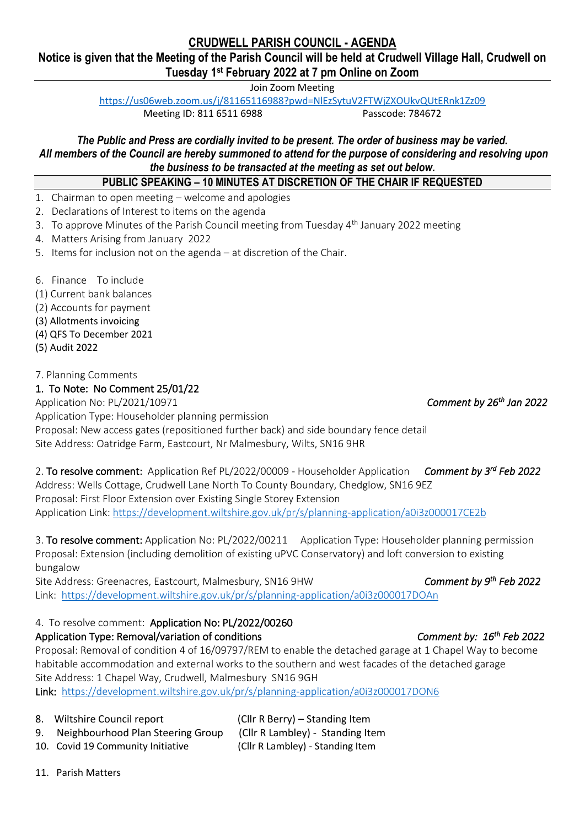## **CRUDWELL PARISH COUNCIL - AGENDA**

### **Notice is given that the Meeting of the Parish Council will be held at Crudwell Village Hall, Crudwell on Tuesday 1st February 2022 at 7 pm Online on Zoom**

Join Zoom Meeting

<https://us06web.zoom.us/j/81165116988?pwd=NlEzSytuV2FTWjZXOUkvQUtERnk1Zz09> Meeting ID: 811 6511 6988 Passcode: 784672

*The Public and Press are cordially invited to be present. The order of business may be varied. All members of the Council are hereby summoned to attend for the purpose of considering and resolving upon the business to be transacted at the meeting as set out below.*

### **PUBLIC SPEAKING – 10 MINUTES AT DISCRETION OF THE CHAIR IF REQUESTED**

- 1. Chairman to open meeting welcome and apologies
- 2. Declarations of Interest to items on the agenda
- 3. To approve Minutes of the Parish Council meeting from Tuesday 4<sup>th</sup> January 2022 meeting
- 4. Matters Arising from January 2022
- 5. Items for inclusion not on the agenda at discretion of the Chair.
- 6. Finance To include
- (1) Current bank balances
- (2) Accounts for payment
- (3) Allotments invoicing
- (4) QFS To December 2021
- (5) Audit 2022

#### 7. Planning Comments

#### 1. To Note: No Comment 25/01/22

Application No: PL/2021/10971 *Comment by 26th* Application Type: Householder planning permission Proposal: New access gates (repositioned further back) and side boundary fence detail Site Address: Oatridge Farm, Eastcourt, Nr Malmesbury, Wilts, SN16 9HR

2. To resolve comment: Application Ref PL/2022/00009 - Householder Application Comment by 3<sup>rd</sup> Feb 2022 Address: Wells Cottage, Crudwell Lane North To County Boundary, Chedglow, SN16 9EZ Proposal: First Floor Extension over Existing Single Storey Extension Application Link[: https://development.wiltshire.gov.uk/pr/s/planning-application/a0i3z000017CE2b](https://development.wiltshire.gov.uk/pr/s/planning-application/a0i3z000017CE2b)

3. To resolve comment: Application No: PL/2022/00211 Application Type: Householder planning permission Proposal: Extension (including demolition of existing uPVC Conservatory) and loft conversion to existing bungalow

Site Address: Greenacres, Eastcourt, Malmesbury, SN16 9HW Link: <https://development.wiltshire.gov.uk/pr/s/planning-application/a0i3z000017DOAn>

#### 4. To resolve comment: Application No: PL/2022/00260

#### Application Type: Removal/variation of conditions

Proposal: Removal of condition 4 of 16/09797/REM to enable the detached garage at 1 Chapel Way to become habitable accommodation and external works to the southern and west facades of the detached garage Site Address: 1 Chapel Way, Crudwell, Malmesbury SN16 9GH

Link:<https://development.wiltshire.gov.uk/pr/s/planning-application/a0i3z000017DON6>

- 
- 9. Neighbourhood Plan Steering Group (Cllr R Lambley) Standing Item
- 10. Covid 19 Community Initiative (Cllr R Lambley) Standing Item

8. Wiltshire Council report (Cllr R Berry) – Standing Item

11. Parish Matters

Comment by 26<sup>th</sup> Jan 2022

Comment by 9<sup>th</sup> Feb 2022

# *Comment by: 16<sup>th</sup> Feb 2022*